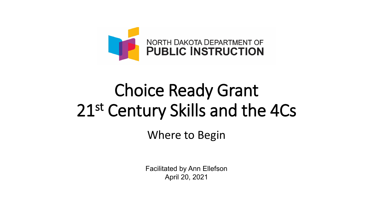

# Choice Ready Grant 21st Century Skills and the 4Cs

Where to Begin

Facilitated by Ann Ellefson April 20, 2021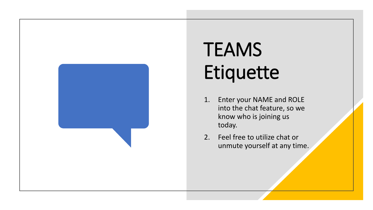

# **TEAMS** Etiquette

- 1. Enter your NAME and ROLE into the chat feature, so we know who is joining us today.
- 2. Feel free to utilize chat or unmute yourself at any time.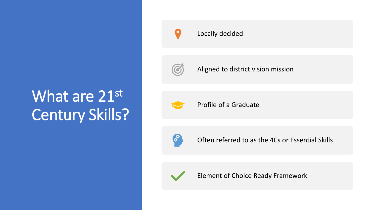# What are 21st Century Skills?



### Locally decided



Aligned to district vision mission



Profile of a Graduate



Often referred to as the 4Cs or Essential Skills



Element of Choice Ready Framework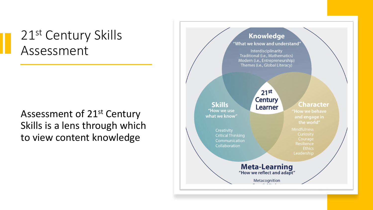## 21<sup>st</sup> Century Skills Assessment

### Assessment of 21st Century Skills is a lens through which to view content knowledge

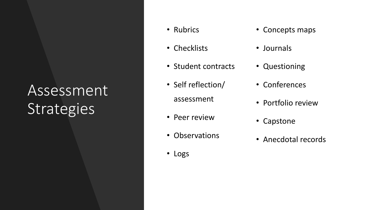# Assessment **Strategies**

- Rubrics
- Checklists
- Student contracts
- Self reflection/ assessment
- Peer review
- Observations
- Logs
- Concepts maps
- Journals
- Questioning
- Conferences
- Portfolio review
- Capstone
- Anecdotal records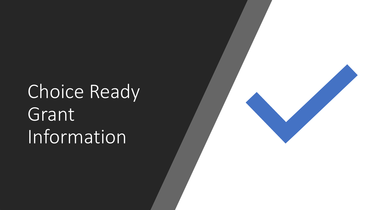Choice Ready Grant Information

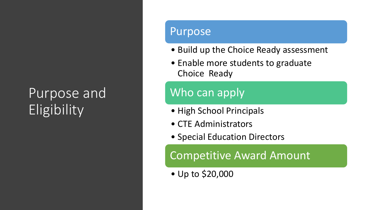# Purpose and **Eligibility**

### Purpose

- Build up the Choice Ready assessment
- Enable more students to graduate Choice Ready

### Who can apply

- High School Principals
- CTE Administrators
- Special Education Directors

Competitive Award Amount

• Up to \$20,000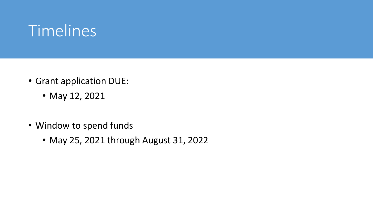# Timelines

- Grant application DUE:
	- May 12, 2021
- Window to spend funds
	- May 25, 2021 through August 31, 2022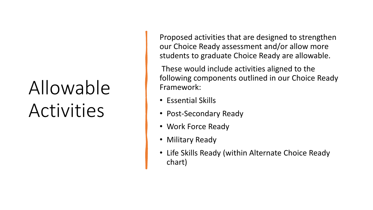# Allowable Activities

Proposed activities that are designed to strengthen our Choice Ready assessment and/or allow more students to graduate Choice Ready are allowable.

These would include activities aligned to the following components outlined in our Choice Ready Framework:

- Essential Skills
- Post-Secondary Ready
- Work Force Ready
- Military Ready
- Life Skills Ready (within Alternate Choice Ready chart)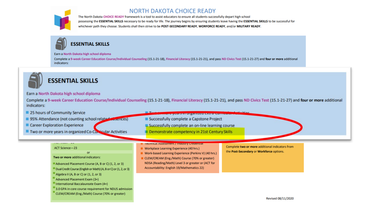

### NORTH DAKOTA CHOICE READY

The North Dakota CHOICE READY framework is a tool to assist educators to ensure all students successfully depart high school possessing the ESSENTIAL SKILLS necessary to be ready for life. The journey begins by ensuring students leave having the ESSENTIAL SKILLS to be successful for whichever path they choose. Students shall then strive to be POST-SECONDARY READY, WORFORCE READY, and/or MILITARY READY.



Earn a North Dakota high school diploma

Complete a 9-week Career Education Course/Individual Counseling (15.1-21-18), Financial Literacy (15.1-21-21), and pass ND Civics Test (15.1-21-27) and four or more additional indicators:

**El recnnical Assessment / Industry Credential** 

Work-based Learning Experience (Perkins V) (40 hrs.)

CLEM/CREAM (Eng./Math) Course (70% or greater) NDSA (Reading/Math) Level 3 or greater or (ACT for

Accountability: English 19/Mathematics 22)

Workplace Learning Experience (40 hrs.)



### **ESSENTIAL SKILLS**

Earn a North Dakota high school diploma

Complete a 9-week Career Education Course/Individual Counseling (15.1-21-18), Financial Literacy (15.1-21-21), and pass ND Civics Test (15.1-21-27) and four or more additional indicators:

- 25 hours of Community Service
- 95% Attendance (not counting school related absences)
- Career Exploration Experience
- Two or more years in organized Co-Curricular Activities
- Successfully complete a Capstone Project Successfully complete an on-line learning course

**The property of School Care and** 

Demonstrate competency in 21st Century Skills

#### ACT Science-23

#### or Two or more additional indicators:

- Advanced Placement Course (A, B or C) (1, 2, or 3)
- Dual Credit Course (English or Math) (A, B or C) or (1, 2, or 3)
- $\blacksquare$  Algebra II (A, B or C) or (1, 2, or 3)
- Advanced Placement Exam (3+)
- International Baccalaureate Exam (4+)
- 3.0 GPA in core course requirement for NDUS admission
- CLEM/CREAM (Eng./Math) Course (70% or greater)

Complete two or more additional indicators from the Post-Secondary or Workforce options.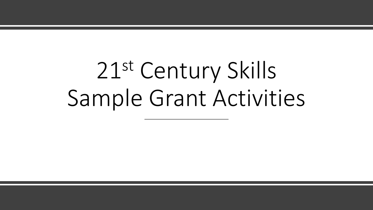# 21st Century Skills Sample Grant Activities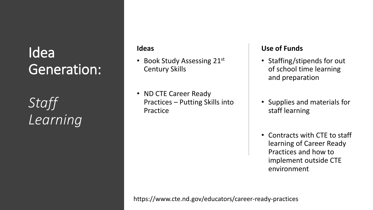# Idea Generation:

*Staff Learning*

### **Ideas**

- Book Study Assessing 21st Century Skills
- ND CTE Career Ready Practices – Putting Skills into Practice

### **Use of Funds**

- Staffing/stipends for out of school time learning and preparation
- Supplies and materials for staff learning
- Contracts with CTE to staff learning of Career Ready Practices and how to implement outside CTE environment

https://www.cte.nd.gov/educators/career-ready-practices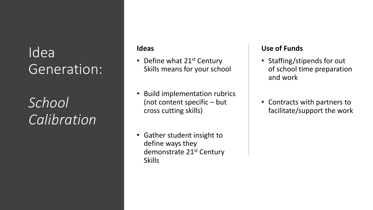## Idea Generation:

# *School Calibration*

### **Ideas**

- Define what 21<sup>st</sup> Century Skills means for your school
- Build implementation rubrics (not content specific – but cross cutting skills)
- Gather student insight to define ways they demonstrate 21<sup>st</sup> Century **Skills**

### **Use of Funds**

- Staffing/stipends for out of school time preparation and work
- Contracts with partners to facilitate/support the work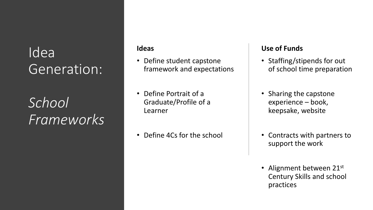## Idea Generation:

# *School Frameworks*

### **Ideas**

- Define student capstone framework and expectations
- Define Portrait of a Graduate/Profile of a Learner
- Define 4Cs for the school

### **Use of Funds**

- Staffing/stipends for out of school time preparation
- Sharing the capstone experience – book, keepsake, website
- Contracts with partners to support the work
- Alignment between 21st Century Skills and school practices